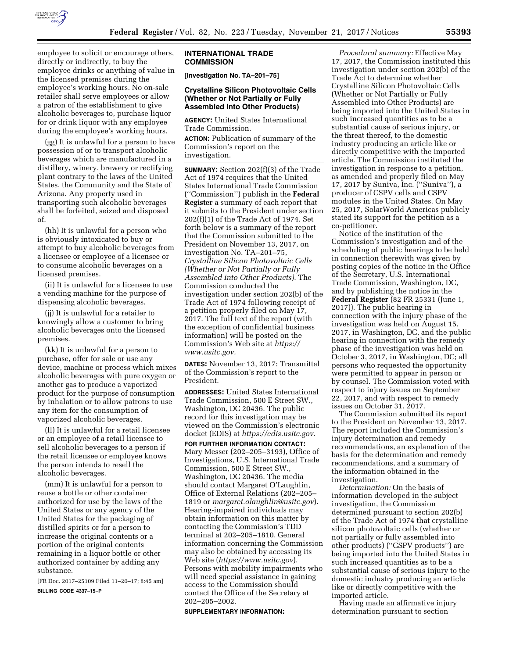

employee to solicit or encourage others, directly or indirectly, to buy the employee drinks or anything of value in the licensed premises during the employee's working hours. No on-sale retailer shall serve employees or allow a patron of the establishment to give alcoholic beverages to, purchase liquor for or drink liquor with any employee during the employee's working hours.

(gg) It is unlawful for a person to have possession of or to transport alcoholic beverages which are manufactured in a distillery, winery, brewery or rectifying plant contrary to the laws of the United States, the Community and the State of Arizona. Any property used in transporting such alcoholic beverages shall be forfeited, seized and disposed of.

(hh) It is unlawful for a person who is obviously intoxicated to buy or attempt to buy alcoholic beverages from a licensee or employee of a licensee or to consume alcoholic beverages on a licensed premises.

(ii) It is unlawful for a licensee to use a vending machine for the purpose of dispensing alcoholic beverages.

(jj) It is unlawful for a retailer to knowingly allow a customer to bring alcoholic beverages onto the licensed premises.

(kk) It is unlawful for a person to purchase, offer for sale or use any device, machine or process which mixes alcoholic beverages with pure oxygen or another gas to produce a vaporized product for the purpose of consumption by inhalation or to allow patrons to use any item for the consumption of vaporized alcoholic beverages.

(ll) It is unlawful for a retail licensee or an employee of a retail licensee to sell alcoholic beverages to a person if the retail licensee or employee knows the person intends to resell the alcoholic beverages.

(mm) It is unlawful for a person to reuse a bottle or other container authorized for use by the laws of the United States or any agency of the United States for the packaging of distilled spirits or for a person to increase the original contents or a portion of the original contents remaining in a liquor bottle or other authorized container by adding any substance.

[FR Doc. 2017–25109 Filed 11–20–17; 8:45 am] **BILLING CODE 4337–15–P** 

#### **INTERNATIONAL TRADE COMMISSION**

**[Investigation No. TA–201–75]** 

# **Crystalline Silicon Photovoltaic Cells (Whether or Not Partially or Fully Assembled Into Other Products)**

**AGENCY:** United States International Trade Commission.

**ACTION:** Publication of summary of the Commission's report on the investigation.

**SUMMARY:** Section 202(f)(3) of the Trade Act of 1974 requires that the United States International Trade Commission (''Commission'') publish in the **Federal Register** a summary of each report that it submits to the President under section 202(f)(1) of the Trade Act of 1974. Set forth below is a summary of the report that the Commission submitted to the President on November 13, 2017, on investigation No. TA–201–75, *Crystalline Silicon Photovoltaic Cells (Whether or Not Partially or Fully Assembled into Other Products).* The Commission conducted the investigation under section 202(b) of the Trade Act of 1974 following receipt of a petition properly filed on May 17, 2017. The full text of the report (with the exception of confidential business information) will be posted on the Commission's Web site at *[https://](https://www.usitc.gov) [www.usitc.gov.](https://www.usitc.gov)* 

**DATES:** November 13, 2017: Transmittal of the Commission's report to the President.

**ADDRESSES:** United States International Trade Commission, 500 E Street SW., Washington, DC 20436. The public record for this investigation may be viewed on the Commission's electronic docket (EDIS) at *[https://edis.usitc.gov.](https://edis.usitc.gov)* 

**FOR FURTHER INFORMATION CONTACT:**  Mary Messer (202–205–3193), Office of Investigations, U.S. International Trade Commission, 500 E Street SW., Washington, DC 20436. The media should contact Margaret O'Laughlin, Office of External Relations (202–205– 1819 or *[margaret.olaughlin@usitc.gov](mailto:margaret.olaughlin@usitc.gov)*). Hearing-impaired individuals may obtain information on this matter by contacting the Commission's TDD terminal at 202–205–1810. General information concerning the Commission may also be obtained by accessing its Web site (*<https://www.usitc.gov>*). Persons with mobility impairments who will need special assistance in gaining access to the Commission should contact the Office of the Secretary at 202–205–2002.

**SUPPLEMENTARY INFORMATION:** 

*Procedural summary:* Effective May 17, 2017, the Commission instituted this investigation under section 202(b) of the Trade Act to determine whether Crystalline Silicon Photovoltaic Cells (Whether or Not Partially or Fully Assembled into Other Products) are being imported into the United States in such increased quantities as to be a substantial cause of serious injury, or the threat thereof, to the domestic industry producing an article like or directly competitive with the imported article. The Commission instituted the investigation in response to a petition, as amended and properly filed on May 17, 2017 by Suniva, Inc. (''Suniva''), a producer of CSPV cells and CSPV modules in the United States. On May 25, 2017, SolarWorld Americas publicly stated its support for the petition as a co-petitioner.

Notice of the institution of the Commission's investigation and of the scheduling of public hearings to be held in connection therewith was given by posting copies of the notice in the Office of the Secretary, U.S. International Trade Commission, Washington, DC, and by publishing the notice in the **Federal Register** (82 FR 25331 (June 1, 2017)). The public hearing in connection with the injury phase of the investigation was held on August 15, 2017, in Washington, DC, and the public hearing in connection with the remedy phase of the investigation was held on October 3, 2017, in Washington, DC; all persons who requested the opportunity were permitted to appear in person or by counsel. The Commission voted with respect to injury issues on September 22, 2017, and with respect to remedy issues on October 31, 2017.

The Commission submitted its report to the President on November 13, 2017. The report included the Commission's injury determination and remedy recommendations, an explanation of the basis for the determination and remedy recommendations, and a summary of the information obtained in the investigation.

*Determination:* On the basis of information developed in the subject investigation, the Commission determined pursuant to section 202(b) of the Trade Act of 1974 that crystalline silicon photovoltaic cells (whether or not partially or fully assembled into other products) (''CSPV products'') are being imported into the United States in such increased quantities as to be a substantial cause of serious injury to the domestic industry producing an article like or directly competitive with the imported article.

Having made an affirmative injury determination pursuant to section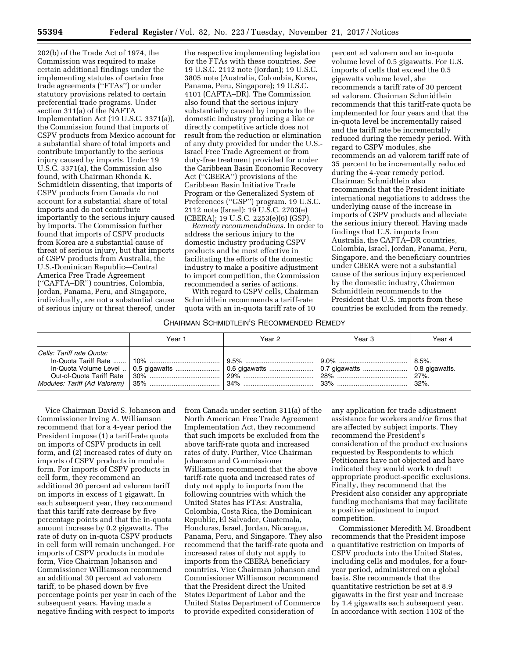202(b) of the Trade Act of 1974, the Commission was required to make certain additional findings under the implementing statutes of certain free trade agreements (''FTAs'') or under statutory provisions related to certain preferential trade programs. Under section 311(a) of the NAFTA Implementation Act (19 U.S.C. 3371(a)), the Commission found that imports of CSPV products from Mexico account for a substantial share of total imports and contribute importantly to the serious injury caused by imports. Under 19 U.S.C. 3371(a), the Commission also found, with Chairman Rhonda K. Schmidtlein dissenting, that imports of CSPV products from Canada do not account for a substantial share of total imports and do not contribute importantly to the serious injury caused by imports. The Commission further found that imports of CSPV products from Korea are a substantial cause of threat of serious injury, but that imports of CSPV products from Australia, the U.S.-Dominican Republic—Central America Free Trade Agreement (''CAFTA–DR'') countries, Colombia, Jordan, Panama, Peru, and Singapore, individually, are not a substantial cause of serious injury or threat thereof, under

the respective implementing legislation for the FTAs with these countries. *See*  19 U.S.C. 2112 note (Jordan); 19 U.S.C. 3805 note (Australia, Colombia, Korea, Panama, Peru, Singapore); 19 U.S.C. 4101 (CAFTA–DR). The Commission also found that the serious injury substantially caused by imports to the domestic industry producing a like or directly competitive article does not result from the reduction or elimination of any duty provided for under the U.S.- Israel Free Trade Agreement or from duty-free treatment provided for under the Caribbean Basin Economic Recovery Act (''CBERA'') provisions of the Caribbean Basin Initiative Trade Program or the Generalized System of Preferences (''GSP'') program. 19 U.S.C. 2112 note (Israel); 19 U.S.C. 2703(e) (CBERA); 19 U.S.C. 2253(e)(6) (GSP).

*Remedy recommendations.* In order to address the serious injury to the domestic industry producing CSPV products and be most effective in facilitating the efforts of the domestic industry to make a positive adjustment to import competition, the Commission recommended a series of actions.

With regard to CSPV cells, Chairman Schmidtlein recommends a tariff-rate quota with an in-quota tariff rate of 10

# CHAIRMAN SCHMIDTLEIN'S RECOMMENDED REMEDY

percent ad valorem and an in-quota volume level of 0.5 gigawatts. For U.S. imports of cells that exceed the 0.5 gigawatts volume level, she recommends a tariff rate of 30 percent ad valorem. Chairman Schmidtlein recommends that this tariff-rate quota be implemented for four years and that the in-quota level be incrementally raised and the tariff rate be incrementally reduced during the remedy period. With regard to CSPV modules, she recommends an ad valorem tariff rate of 35 percent to be incrementally reduced during the 4-year remedy period. Chairman Schmidtlein also recommends that the President initiate international negotiations to address the underlying cause of the increase in imports of CSPV products and alleviate the serious injury thereof. Having made findings that U.S. imports from Australia, the CAFTA–DR countries, Colombia, Israel, Jordan, Panama, Peru, Singapore, and the beneficiary countries under CBERA were not a substantial cause of the serious injury experienced by the domestic industry, Chairman Schmidtlein recommends to the President that U.S. imports from these countries be excluded from the remedy.

|                           | Year 1 | Year 2 | Year 3 | Year 4                  |
|---------------------------|--------|--------|--------|-------------------------|
| Cells: Tariff rate Quota: |        |        |        | $ 8.5\%$ .<br>$ 32\%$ . |

Vice Chairman David S. Johanson and Commissioner Irving A. Williamson recommend that for a 4-year period the President impose (1) a tariff-rate quota on imports of CSPV products in cell form, and (2) increased rates of duty on imports of CSPV products in module form. For imports of CSPV products in cell form, they recommend an additional 30 percent ad valorem tariff on imports in excess of 1 gigawatt. In each subsequent year, they recommend that this tariff rate decrease by five percentage points and that the in-quota amount increase by 0.2 gigawatts. The rate of duty on in-quota CSPV products in cell form will remain unchanged. For imports of CSPV products in module form, Vice Chairman Johanson and Commissioner Williamson recommend an additional 30 percent ad valorem tariff, to be phased down by five percentage points per year in each of the subsequent years. Having made a negative finding with respect to imports

from Canada under section 311(a) of the North American Free Trade Agreement Implementation Act, they recommend that such imports be excluded from the above tariff-rate quota and increased rates of duty. Further, Vice Chairman Johanson and Commissioner Williamson recommend that the above tariff-rate quota and increased rates of duty not apply to imports from the following countries with which the United States has FTAs: Australia, Colombia, Costa Rica, the Dominican Republic, El Salvador, Guatemala, Honduras, Israel, Jordan, Nicaragua, Panama, Peru, and Singapore. They also recommend that the tariff-rate quota and increased rates of duty not apply to imports from the CBERA beneficiary countries. Vice Chairman Johanson and Commissioner Williamson recommend that the President direct the United States Department of Labor and the United States Department of Commerce to provide expedited consideration of

any application for trade adjustment assistance for workers and/or firms that are affected by subject imports. They recommend the President's consideration of the product exclusions requested by Respondents to which Petitioners have not objected and have indicated they would work to draft appropriate product-specific exclusions. Finally, they recommend that the President also consider any appropriate funding mechanisms that may facilitate a positive adjustment to import competition.

Commissioner Meredith M. Broadbent recommends that the President impose a quantitative restriction on imports of CSPV products into the United States, including cells and modules, for a fouryear period, administered on a global basis. She recommends that the quantitative restriction be set at 8.9 gigawatts in the first year and increase by 1.4 gigawatts each subsequent year. In accordance with section 1102 of the